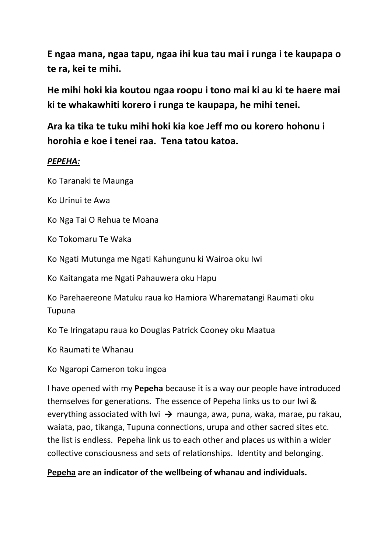**E ngaa mana, ngaa tapu, ngaa ihi kua tau mai i runga i te kaupapa o te ra, kei te mihi.** 

**He mihi hoki kia koutou ngaa roopu i tono mai ki au ki te haere mai ki te whakawhiti korero i runga te kaupapa, he mihi tenei.** 

**Ara ka tika te tuku mihi hoki kia koe Jeff mo ou korero hohonu i horohia e koe i tenei raa. Tena tatou katoa.**

### *PEPEHA:*

Ko Taranaki te Maunga

Ko Urinui te Awa

Ko Nga Tai O Rehua te Moana

Ko Tokomaru Te Waka

Ko Ngati Mutunga me Ngati Kahungunu ki Wairoa oku Iwi

Ko Kaitangata me Ngati Pahauwera oku Hapu

Ko Parehaereone Matuku raua ko Hamiora Wharematangi Raumati oku Tupuna

Ko Te Iringatapu raua ko Douglas Patrick Cooney oku Maatua

Ko Raumati te Whanau

Ko Ngaropi Cameron toku ingoa

I have opened with my **Pepeha** because it is a way our people have introduced themselves for generations. The essence of Pepeha links us to our Iwi & evervthing associated with Iwi → maunga, awa, puna, waka, marae, pu rakau, waiata, pao, tikanga, Tupuna connections, urupa and other sacred sites etc. the list is endless. Pepeha link us to each other and places us within a wider collective consciousness and sets of relationships. Identity and belonging.

#### **Pepeha are an indicator of the wellbeing of whanau and individuals.**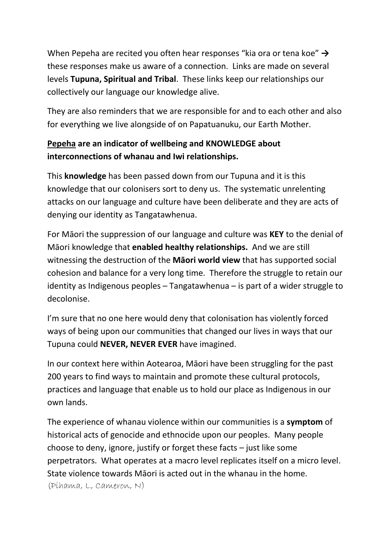When Pepeha are recited you often hear responses "kia ora or tena koe" **→** these responses make us aware of a connection. Links are made on several levels **Tupuna, Spiritual and Tribal**. These links keep our relationships our collectively our language our knowledge alive.

They are also reminders that we are responsible for and to each other and also for everything we live alongside of on Papatuanuku, our Earth Mother.

# **Pepeha are an indicator of wellbeing and KNOWLEDGE about interconnections of whanau and Iwi relationships.**

This **knowledge** has been passed down from our Tupuna and it is this knowledge that our colonisers sort to deny us. The systematic unrelenting attacks on our language and culture have been deliberate and they are acts of denying our identity as Tangatawhenua.

For Māori the suppression of our language and culture was **KEY** to the denial of Māori knowledge that **enabled healthy relationships.** And we are still witnessing the destruction of the **Māori world view** that has supported social cohesion and balance for a very long time. Therefore the struggle to retain our identity as Indigenous peoples – Tangatawhenua – is part of a wider struggle to decolonise.

I'm sure that no one here would deny that colonisation has violently forced ways of being upon our communities that changed our lives in ways that our Tupuna could **NEVER, NEVER EVER** have imagined.

In our context here within Aotearoa, Māori have been struggling for the past 200 years to find ways to maintain and promote these cultural protocols, practices and language that enable us to hold our place as Indigenous in our own lands.

The experience of whanau violence within our communities is a **symptom** of historical acts of genocide and ethnocide upon our peoples. Many people choose to deny, ignore, justify or forget these facts – just like some perpetrators. What operates at a macro level replicates itself on a micro level. State violence towards Māori is acted out in the whanau in the home. (Pihama, L, Cameron, N)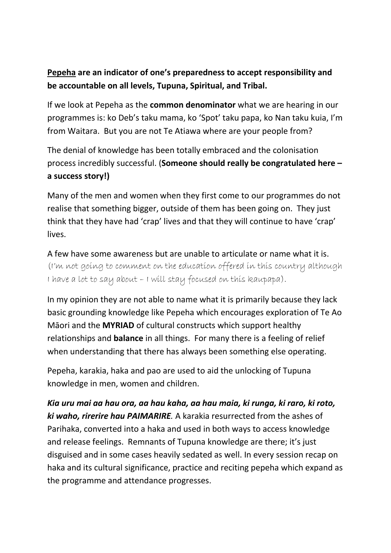# **Pepeha are an indicator of one's preparedness to accept responsibility and be accountable on all levels, Tupuna, Spiritual, and Tribal.**

If we look at Pepeha as the **common denominator** what we are hearing in our programmes is: ko Deb's taku mama, ko 'Spot' taku papa, ko Nan taku kuia, I'm from Waitara. But you are not Te Atiawa where are your people from?

The denial of knowledge has been totally embraced and the colonisation process incredibly successful. (**Someone should really be congratulated here – a success story!)**

Many of the men and women when they first come to our programmes do not realise that something bigger, outside of them has been going on. They just think that they have had 'crap' lives and that they will continue to have 'crap' lives.

A few have some awareness but are unable to articulate or name what it is. (I'm not going to comment on the education offered in this country although I have a lot to say about – I will stay focused on this kaupapa).

In my opinion they are not able to name what it is primarily because they lack basic grounding knowledge like Pepeha which encourages exploration of Te Ao Māori and the **MYRIAD** of cultural constructs which support healthy relationships and **balance** in all things. For many there is a feeling of relief when understanding that there has always been something else operating.

Pepeha, karakia, haka and pao are used to aid the unlocking of Tupuna knowledge in men, women and children.

*Kia uru mai aa hau ora, aa hau kaha, aa hau maia, ki runga, ki raro, ki roto, ki waho, rirerire hau PAIMARIRE.* A karakia resurrected from the ashes of Parihaka, converted into a haka and used in both ways to access knowledge and release feelings. Remnants of Tupuna knowledge are there; it's just disguised and in some cases heavily sedated as well. In every session recap on haka and its cultural significance, practice and reciting pepeha which expand as the programme and attendance progresses.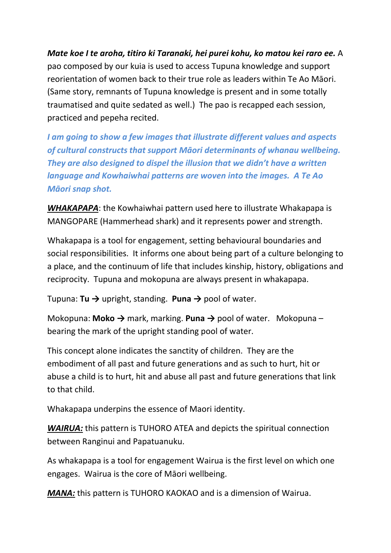*Mate koe I te aroha, titiro ki Taranaki, hei purei kohu, ko matou kei raro ee.* A pao composed by our kuia is used to access Tupuna knowledge and support reorientation of women back to their true role as leaders within Te Ao Māori. (Same story, remnants of Tupuna knowledge is present and in some totally traumatised and quite sedated as well.) The pao is recapped each session, practiced and pepeha recited.

*I am going to show a few images that illustrate different values and aspects of cultural constructs that support Māori determinants of whanau wellbeing. They are also designed to dispel the illusion that we didn't have a written language and Kowhaiwhai patterns are woven into the images. A Te Ao Māori snap shot.* 

*WHAKAPAPA*: the Kowhaiwhai pattern used here to illustrate Whakapapa is MANGOPARE (Hammerhead shark) and it represents power and strength.

Whakapapa is a tool for engagement, setting behavioural boundaries and social responsibilities. It informs one about being part of a culture belonging to a place, and the continuum of life that includes kinship, history, obligations and reciprocity. Tupuna and mokopuna are always present in whakapapa.

Tupuna: **Tu →** upright, standing. **Puna →** pool of water.

Mokopuna: **Moko →** mark, marking. **Puna →** pool of water. Mokopuna – bearing the mark of the upright standing pool of water.

This concept alone indicates the sanctity of children. They are the embodiment of all past and future generations and as such to hurt, hit or abuse a child is to hurt, hit and abuse all past and future generations that link to that child.

Whakapapa underpins the essence of Maori identity.

*WAIRUA:* this pattern is TUHORO ATEA and depicts the spiritual connection between Ranginui and Papatuanuku.

As whakapapa is a tool for engagement Wairua is the first level on which one engages. Wairua is the core of Māori wellbeing.

*MANA:* this pattern is TUHORO KAOKAO and is a dimension of Wairua.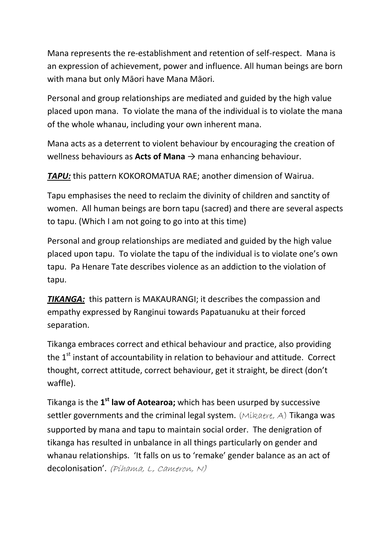Mana represents the re-establishment and retention of self-respect. Mana is an expression of achievement, power and influence. All human beings are born with mana but only Māori have Mana Māori.

Personal and group relationships are mediated and guided by the high value placed upon mana. To violate the mana of the individual is to violate the mana of the whole whanau, including your own inherent mana.

Mana acts as a deterrent to violent behaviour by encouraging the creation of wellness behaviours as **Acts of Mana**  $\rightarrow$  mana enhancing behaviour.

**TAPU:** this pattern KOKOROMATUA RAE; another dimension of Wairua.

Tapu emphasises the need to reclaim the divinity of children and sanctity of women. All human beings are born tapu (sacred) and there are several aspects to tapu. (Which I am not going to go into at this time)

Personal and group relationships are mediated and guided by the high value placed upon tapu. To violate the tapu of the individual is to violate one's own tapu. Pa Henare Tate describes violence as an addiction to the violation of tapu.

*TIKANGA:* this pattern is MAKAURANGI; it describes the compassion and empathy expressed by Ranginui towards Papatuanuku at their forced separation.

Tikanga embraces correct and ethical behaviour and practice, also providing the  $1<sup>st</sup>$  instant of accountability in relation to behaviour and attitude. Correct thought, correct attitude, correct behaviour, get it straight, be direct (don't waffle).

Tikanga is the **1st law of Aotearoa;** which has been usurped by successive settler governments and the criminal legal system. (Mikaere, A) Tikanga was supported by mana and tapu to maintain social order. The denigration of tikanga has resulted in unbalance in all things particularly on gender and whanau relationships. 'It falls on us to 'remake' gender balance as an act of decolonisation'. (Píhama, L, Cameron, N)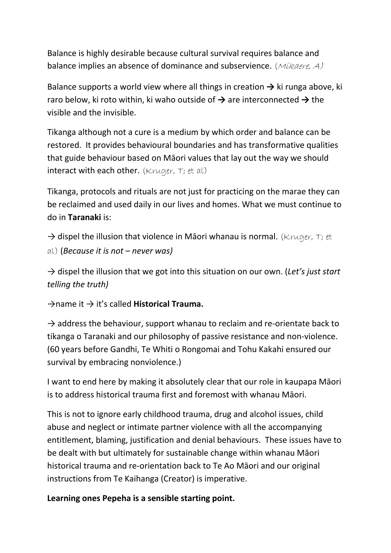Balance is highly desirable because cultural survival requires balance and balance implies an absence of dominance and subservience. (Mikaere, A)

Balance supports a world view where all things in creation **→** ki runga above, ki raro below, ki roto within, ki waho outside of **→** are interconnected **→** the visible and the invisible.

Tikanga although not a cure is a medium by which order and balance can be restored. It provides behavioural boundaries and has transformative qualities that guide behaviour based on Māori values that lay out the way we should interact with each other. (Kruger,  $\tau$ ; et al)

Tikanga, protocols and rituals are not just for practicing on the marae they can be reclaimed and used daily in our lives and homes. What we must continue to do in **Taranaki** is:

 $\rightarrow$  dispel the illusion that violence in Māori whanau is normal. (Kruger, T; et al) (*Because it is not – never was)*

→ dispel the illusion that we got into this situation on our own. (*Let's just start telling the truth)*

→name it → it's called **Historical Trauma.**

 $\rightarrow$  address the behaviour, support whanau to reclaim and re-orientate back to tikanga o Taranaki and our philosophy of passive resistance and non-violence. (60 years before Gandhi, Te Whiti o Rongomai and Tohu Kakahi ensured our survival by embracing nonviolence.)

I want to end here by making it absolutely clear that our role in kaupapa Māori is to address historical trauma first and foremost with whanau Māori.

This is not to ignore early childhood trauma, drug and alcohol issues, child abuse and neglect or intimate partner violence with all the accompanying entitlement, blaming, justification and denial behaviours. These issues have to be dealt with but ultimately for sustainable change within whanau Māori historical trauma and re-orientation back to Te Ao Māori and our original instructions from Te Kaihanga (Creator) is imperative.

**Learning ones Pepeha is a sensible starting point.**